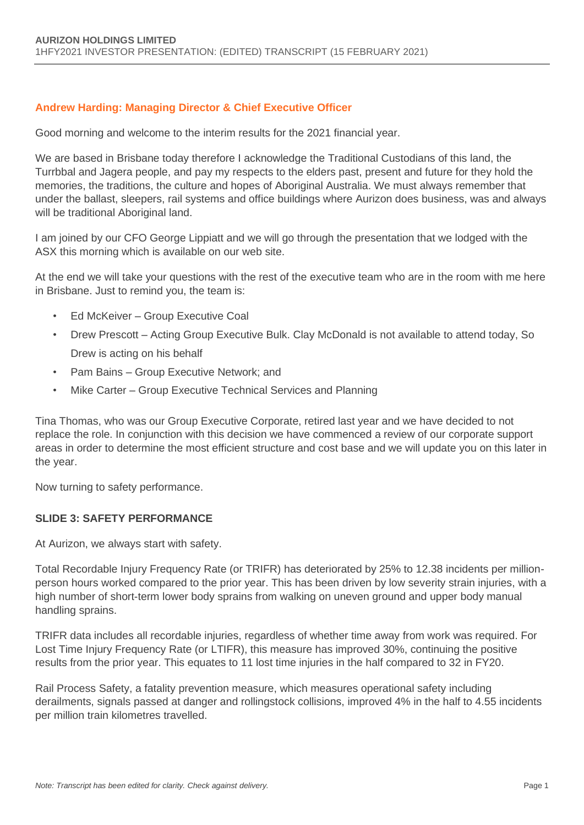#### **Andrew Harding: Managing Director & Chief Executive Officer**

Good morning and welcome to the interim results for the 2021 financial year.

We are based in Brisbane today therefore I acknowledge the Traditional Custodians of this land, the Turrbbal and Jagera people, and pay my respects to the elders past, present and future for they hold the memories, the traditions, the culture and hopes of Aboriginal Australia. We must always remember that under the ballast, sleepers, rail systems and office buildings where Aurizon does business, was and always will be traditional Aboriginal land.

I am joined by our CFO George Lippiatt and we will go through the presentation that we lodged with the ASX this morning which is available on our web site.

At the end we will take your questions with the rest of the executive team who are in the room with me here in Brisbane. Just to remind you, the team is:

- Ed McKeiver Group Executive Coal
- Drew Prescott Acting Group Executive Bulk. Clay McDonald is not available to attend today, So Drew is acting on his behalf
- Pam Bains Group Executive Network; and
- Mike Carter Group Executive Technical Services and Planning

Tina Thomas, who was our Group Executive Corporate, retired last year and we have decided to not replace the role. In conjunction with this decision we have commenced a review of our corporate support areas in order to determine the most efficient structure and cost base and we will update you on this later in the year.

Now turning to safety performance.

#### **SLIDE 3: SAFETY PERFORMANCE**

At Aurizon, we always start with safety.

Total Recordable Injury Frequency Rate (or TRIFR) has deteriorated by 25% to 12.38 incidents per millionperson hours worked compared to the prior year. This has been driven by low severity strain injuries, with a high number of short-term lower body sprains from walking on uneven ground and upper body manual handling sprains.

TRIFR data includes all recordable injuries, regardless of whether time away from work was required. For Lost Time Injury Frequency Rate (or LTIFR), this measure has improved 30%, continuing the positive results from the prior year. This equates to 11 lost time injuries in the half compared to 32 in FY20.

Rail Process Safety, a fatality prevention measure, which measures operational safety including derailments, signals passed at danger and rollingstock collisions, improved 4% in the half to 4.55 incidents per million train kilometres travelled.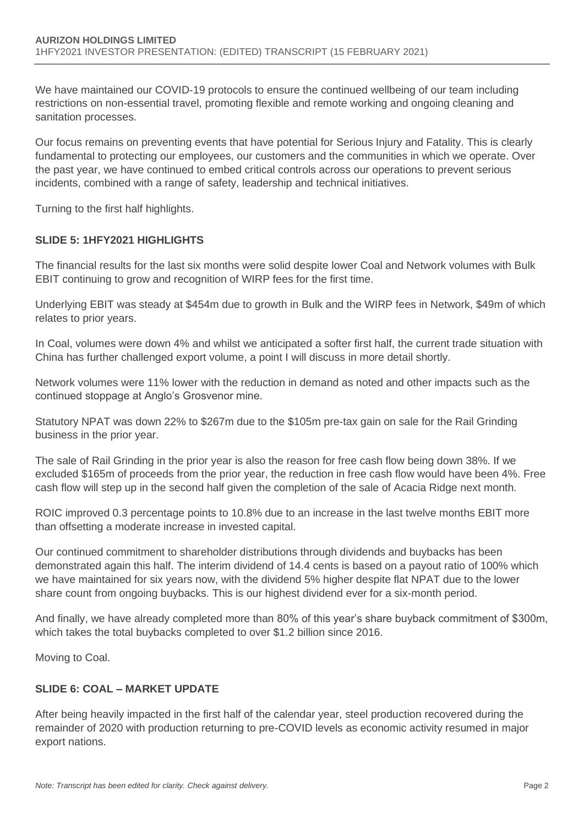We have maintained our COVID-19 protocols to ensure the continued wellbeing of our team including restrictions on non-essential travel, promoting flexible and remote working and ongoing cleaning and sanitation processes.

Our focus remains on preventing events that have potential for Serious Injury and Fatality. This is clearly fundamental to protecting our employees, our customers and the communities in which we operate. Over the past year, we have continued to embed critical controls across our operations to prevent serious incidents, combined with a range of safety, leadership and technical initiatives.

Turning to the first half highlights.

## **SLIDE 5: 1HFY2021 HIGHLIGHTS**

The financial results for the last six months were solid despite lower Coal and Network volumes with Bulk EBIT continuing to grow and recognition of WIRP fees for the first time.

Underlying EBIT was steady at \$454m due to growth in Bulk and the WIRP fees in Network, \$49m of which relates to prior years.

In Coal, volumes were down 4% and whilst we anticipated a softer first half, the current trade situation with China has further challenged export volume, a point I will discuss in more detail shortly.

Network volumes were 11% lower with the reduction in demand as noted and other impacts such as the continued stoppage at Anglo's Grosvenor mine.

Statutory NPAT was down 22% to \$267m due to the \$105m pre-tax gain on sale for the Rail Grinding business in the prior year.

The sale of Rail Grinding in the prior year is also the reason for free cash flow being down 38%. If we excluded \$165m of proceeds from the prior year, the reduction in free cash flow would have been 4%. Free cash flow will step up in the second half given the completion of the sale of Acacia Ridge next month.

ROIC improved 0.3 percentage points to 10.8% due to an increase in the last twelve months EBIT more than offsetting a moderate increase in invested capital.

Our continued commitment to shareholder distributions through dividends and buybacks has been demonstrated again this half. The interim dividend of 14.4 cents is based on a payout ratio of 100% which we have maintained for six years now, with the dividend 5% higher despite flat NPAT due to the lower share count from ongoing buybacks. This is our highest dividend ever for a six-month period.

And finally, we have already completed more than 80% of this year's share buyback commitment of \$300m, which takes the total buybacks completed to over \$1.2 billion since 2016.

Moving to Coal.

## **SLIDE 6: COAL – MARKET UPDATE**

After being heavily impacted in the first half of the calendar year, steel production recovered during the remainder of 2020 with production returning to pre-COVID levels as economic activity resumed in major export nations.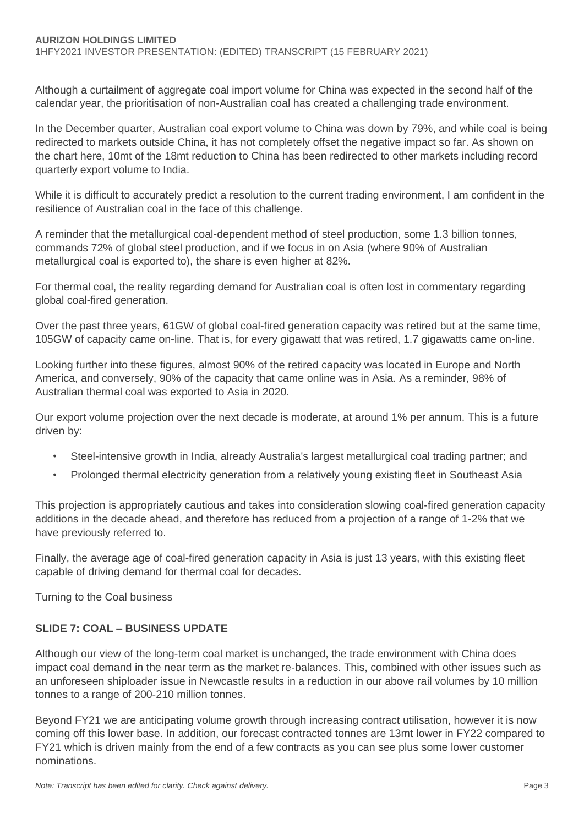Although a curtailment of aggregate coal import volume for China was expected in the second half of the calendar year, the prioritisation of non-Australian coal has created a challenging trade environment.

In the December quarter, Australian coal export volume to China was down by 79%, and while coal is being redirected to markets outside China, it has not completely offset the negative impact so far. As shown on the chart here, 10mt of the 18mt reduction to China has been redirected to other markets including record quarterly export volume to India.

While it is difficult to accurately predict a resolution to the current trading environment, I am confident in the resilience of Australian coal in the face of this challenge.

A reminder that the metallurgical coal-dependent method of steel production, some 1.3 billion tonnes, commands 72% of global steel production, and if we focus in on Asia (where 90% of Australian metallurgical coal is exported to), the share is even higher at 82%.

For thermal coal, the reality regarding demand for Australian coal is often lost in commentary regarding global coal-fired generation.

Over the past three years, 61GW of global coal-fired generation capacity was retired but at the same time, 105GW of capacity came on-line. That is, for every gigawatt that was retired, 1.7 gigawatts came on-line.

Looking further into these figures, almost 90% of the retired capacity was located in Europe and North America, and conversely, 90% of the capacity that came online was in Asia. As a reminder, 98% of Australian thermal coal was exported to Asia in 2020.

Our export volume projection over the next decade is moderate, at around 1% per annum. This is a future driven by:

- Steel-intensive growth in India, already Australia's largest metallurgical coal trading partner; and
- Prolonged thermal electricity generation from a relatively young existing fleet in Southeast Asia

This projection is appropriately cautious and takes into consideration slowing coal-fired generation capacity additions in the decade ahead, and therefore has reduced from a projection of a range of 1-2% that we have previously referred to.

Finally, the average age of coal-fired generation capacity in Asia is just 13 years, with this existing fleet capable of driving demand for thermal coal for decades.

Turning to the Coal business

## **SLIDE 7: COAL – BUSINESS UPDATE**

Although our view of the long-term coal market is unchanged, the trade environment with China does impact coal demand in the near term as the market re-balances. This, combined with other issues such as an unforeseen shiploader issue in Newcastle results in a reduction in our above rail volumes by 10 million tonnes to a range of 200-210 million tonnes.

Beyond FY21 we are anticipating volume growth through increasing contract utilisation, however it is now coming off this lower base. In addition, our forecast contracted tonnes are 13mt lower in FY22 compared to FY21 which is driven mainly from the end of a few contracts as you can see plus some lower customer nominations.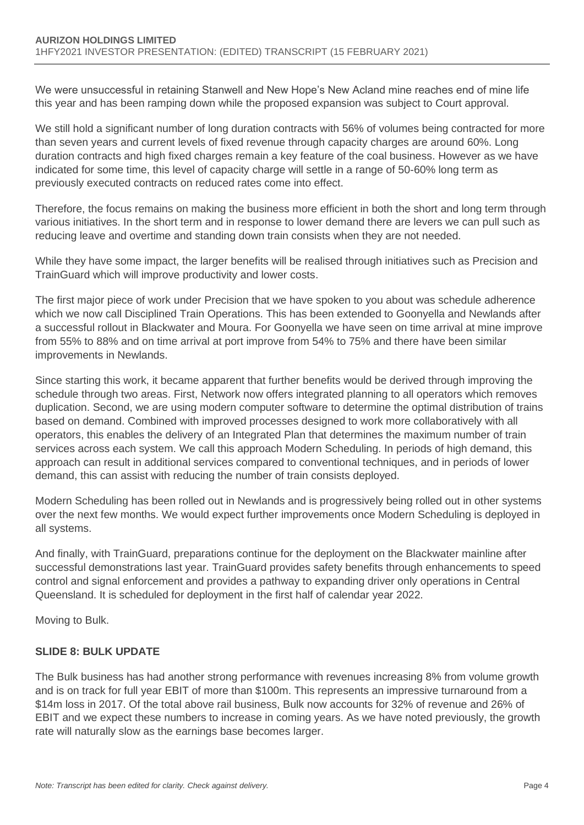We were unsuccessful in retaining Stanwell and New Hope's New Acland mine reaches end of mine life this year and has been ramping down while the proposed expansion was subject to Court approval.

We still hold a significant number of long duration contracts with 56% of volumes being contracted for more than seven years and current levels of fixed revenue through capacity charges are around 60%. Long duration contracts and high fixed charges remain a key feature of the coal business. However as we have indicated for some time, this level of capacity charge will settle in a range of 50-60% long term as previously executed contracts on reduced rates come into effect.

Therefore, the focus remains on making the business more efficient in both the short and long term through various initiatives. In the short term and in response to lower demand there are levers we can pull such as reducing leave and overtime and standing down train consists when they are not needed.

While they have some impact, the larger benefits will be realised through initiatives such as Precision and TrainGuard which will improve productivity and lower costs.

The first major piece of work under Precision that we have spoken to you about was schedule adherence which we now call Disciplined Train Operations. This has been extended to Goonyella and Newlands after a successful rollout in Blackwater and Moura. For Goonyella we have seen on time arrival at mine improve from 55% to 88% and on time arrival at port improve from 54% to 75% and there have been similar improvements in Newlands.

Since starting this work, it became apparent that further benefits would be derived through improving the schedule through two areas. First, Network now offers integrated planning to all operators which removes duplication. Second, we are using modern computer software to determine the optimal distribution of trains based on demand. Combined with improved processes designed to work more collaboratively with all operators, this enables the delivery of an Integrated Plan that determines the maximum number of train services across each system. We call this approach Modern Scheduling. In periods of high demand, this approach can result in additional services compared to conventional techniques, and in periods of lower demand, this can assist with reducing the number of train consists deployed.

Modern Scheduling has been rolled out in Newlands and is progressively being rolled out in other systems over the next few months. We would expect further improvements once Modern Scheduling is deployed in all systems.

And finally, with TrainGuard, preparations continue for the deployment on the Blackwater mainline after successful demonstrations last year. TrainGuard provides safety benefits through enhancements to speed control and signal enforcement and provides a pathway to expanding driver only operations in Central Queensland. It is scheduled for deployment in the first half of calendar year 2022.

Moving to Bulk.

## **SLIDE 8: BULK UPDATE**

The Bulk business has had another strong performance with revenues increasing 8% from volume growth and is on track for full year EBIT of more than \$100m. This represents an impressive turnaround from a \$14m loss in 2017. Of the total above rail business, Bulk now accounts for 32% of revenue and 26% of EBIT and we expect these numbers to increase in coming years. As we have noted previously, the growth rate will naturally slow as the earnings base becomes larger.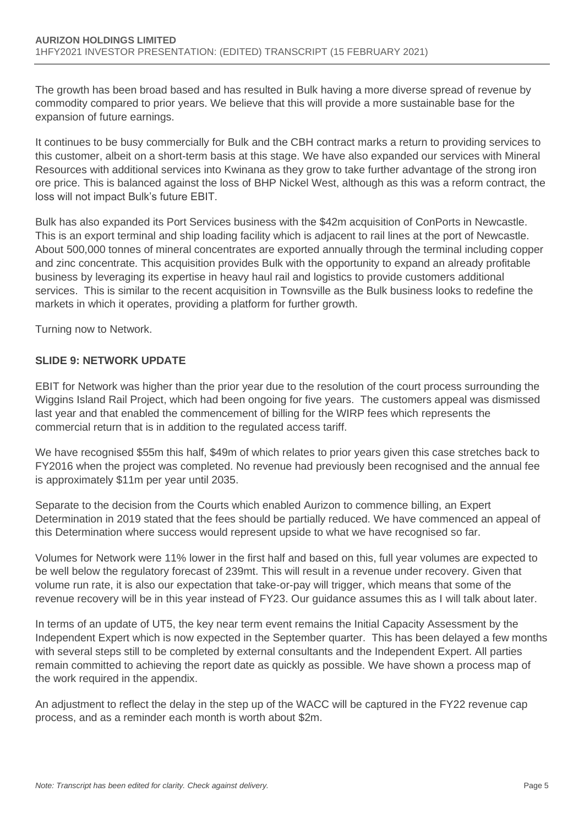The growth has been broad based and has resulted in Bulk having a more diverse spread of revenue by commodity compared to prior years. We believe that this will provide a more sustainable base for the expansion of future earnings.

It continues to be busy commercially for Bulk and the CBH contract marks a return to providing services to this customer, albeit on a short-term basis at this stage. We have also expanded our services with Mineral Resources with additional services into Kwinana as they grow to take further advantage of the strong iron ore price. This is balanced against the loss of BHP Nickel West, although as this was a reform contract, the loss will not impact Bulk's future EBIT.

Bulk has also expanded its Port Services business with the \$42m acquisition of ConPorts in Newcastle. This is an export terminal and ship loading facility which is adjacent to rail lines at the port of Newcastle. About 500,000 tonnes of mineral concentrates are exported annually through the terminal including copper and zinc concentrate. This acquisition provides Bulk with the opportunity to expand an already profitable business by leveraging its expertise in heavy haul rail and logistics to provide customers additional services. This is similar to the recent acquisition in Townsville as the Bulk business looks to redefine the markets in which it operates, providing a platform for further growth.

Turning now to Network.

#### **SLIDE 9: NETWORK UPDATE**

EBIT for Network was higher than the prior year due to the resolution of the court process surrounding the Wiggins Island Rail Project, which had been ongoing for five years. The customers appeal was dismissed last year and that enabled the commencement of billing for the WIRP fees which represents the commercial return that is in addition to the regulated access tariff.

We have recognised \$55m this half, \$49m of which relates to prior years given this case stretches back to FY2016 when the project was completed. No revenue had previously been recognised and the annual fee is approximately \$11m per year until 2035.

Separate to the decision from the Courts which enabled Aurizon to commence billing, an Expert Determination in 2019 stated that the fees should be partially reduced. We have commenced an appeal of this Determination where success would represent upside to what we have recognised so far.

Volumes for Network were 11% lower in the first half and based on this, full year volumes are expected to be well below the regulatory forecast of 239mt. This will result in a revenue under recovery. Given that volume run rate, it is also our expectation that take-or-pay will trigger, which means that some of the revenue recovery will be in this year instead of FY23. Our guidance assumes this as I will talk about later.

In terms of an update of UT5, the key near term event remains the Initial Capacity Assessment by the Independent Expert which is now expected in the September quarter. This has been delayed a few months with several steps still to be completed by external consultants and the Independent Expert. All parties remain committed to achieving the report date as quickly as possible. We have shown a process map of the work required in the appendix.

An adjustment to reflect the delay in the step up of the WACC will be captured in the FY22 revenue cap process, and as a reminder each month is worth about \$2m.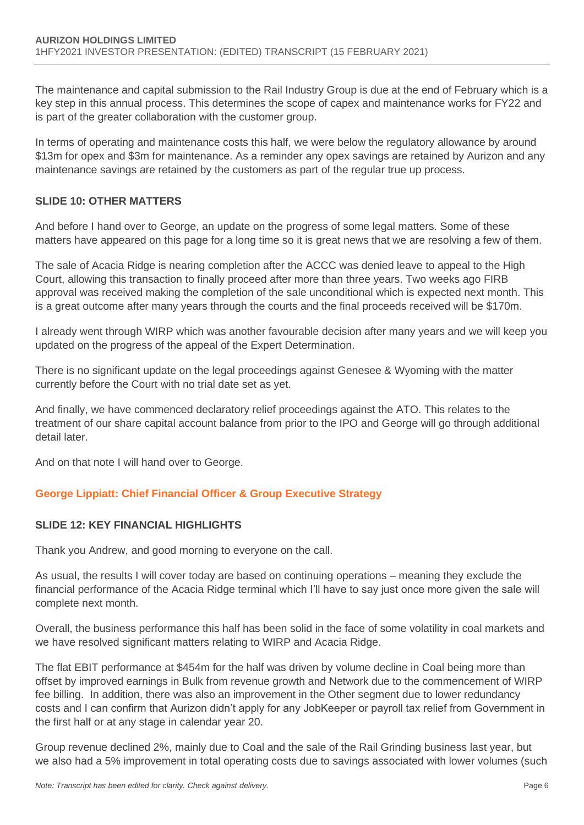The maintenance and capital submission to the Rail Industry Group is due at the end of February which is a key step in this annual process. This determines the scope of capex and maintenance works for FY22 and is part of the greater collaboration with the customer group.

In terms of operating and maintenance costs this half, we were below the regulatory allowance by around \$13m for opex and \$3m for maintenance. As a reminder any opex savings are retained by Aurizon and any maintenance savings are retained by the customers as part of the regular true up process.

#### **SLIDE 10: OTHER MATTERS**

And before I hand over to George, an update on the progress of some legal matters. Some of these matters have appeared on this page for a long time so it is great news that we are resolving a few of them.

The sale of Acacia Ridge is nearing completion after the ACCC was denied leave to appeal to the High Court, allowing this transaction to finally proceed after more than three years. Two weeks ago FIRB approval was received making the completion of the sale unconditional which is expected next month. This is a great outcome after many years through the courts and the final proceeds received will be \$170m.

I already went through WIRP which was another favourable decision after many years and we will keep you updated on the progress of the appeal of the Expert Determination.

There is no significant update on the legal proceedings against Genesee & Wyoming with the matter currently before the Court with no trial date set as yet.

And finally, we have commenced declaratory relief proceedings against the ATO. This relates to the treatment of our share capital account balance from prior to the IPO and George will go through additional detail later.

And on that note I will hand over to George.

## **George Lippiatt: Chief Financial Officer & Group Executive Strategy**

#### **SLIDE 12: KEY FINANCIAL HIGHLIGHTS**

Thank you Andrew, and good morning to everyone on the call.

As usual, the results I will cover today are based on continuing operations – meaning they exclude the financial performance of the Acacia Ridge terminal which I'll have to say just once more given the sale will complete next month.

Overall, the business performance this half has been solid in the face of some volatility in coal markets and we have resolved significant matters relating to WIRP and Acacia Ridge.

The flat EBIT performance at \$454m for the half was driven by volume decline in Coal being more than offset by improved earnings in Bulk from revenue growth and Network due to the commencement of WIRP fee billing. In addition, there was also an improvement in the Other segment due to lower redundancy costs and I can confirm that Aurizon didn't apply for any JobKeeper or payroll tax relief from Government in the first half or at any stage in calendar year 20.

Group revenue declined 2%, mainly due to Coal and the sale of the Rail Grinding business last year, but we also had a 5% improvement in total operating costs due to savings associated with lower volumes (such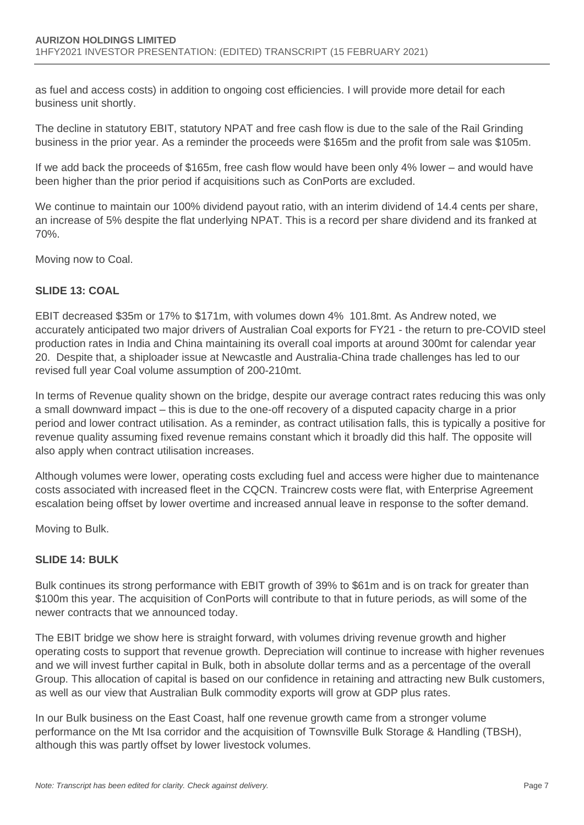as fuel and access costs) in addition to ongoing cost efficiencies. I will provide more detail for each business unit shortly.

The decline in statutory EBIT, statutory NPAT and free cash flow is due to the sale of the Rail Grinding business in the prior year. As a reminder the proceeds were \$165m and the profit from sale was \$105m.

If we add back the proceeds of \$165m, free cash flow would have been only 4% lower – and would have been higher than the prior period if acquisitions such as ConPorts are excluded.

We continue to maintain our 100% dividend payout ratio, with an interim dividend of 14.4 cents per share, an increase of 5% despite the flat underlying NPAT. This is a record per share dividend and its franked at 70%.

Moving now to Coal.

## **SLIDE 13: COAL**

EBIT decreased \$35m or 17% to \$171m, with volumes down 4% 101.8mt. As Andrew noted, we accurately anticipated two major drivers of Australian Coal exports for FY21 - the return to pre-COVID steel production rates in India and China maintaining its overall coal imports at around 300mt for calendar year 20. Despite that, a shiploader issue at Newcastle and Australia-China trade challenges has led to our revised full year Coal volume assumption of 200-210mt.

In terms of Revenue quality shown on the bridge, despite our average contract rates reducing this was only a small downward impact – this is due to the one-off recovery of a disputed capacity charge in a prior period and lower contract utilisation. As a reminder, as contract utilisation falls, this is typically a positive for revenue quality assuming fixed revenue remains constant which it broadly did this half. The opposite will also apply when contract utilisation increases.

Although volumes were lower, operating costs excluding fuel and access were higher due to maintenance costs associated with increased fleet in the CQCN. Traincrew costs were flat, with Enterprise Agreement escalation being offset by lower overtime and increased annual leave in response to the softer demand.

Moving to Bulk.

## **SLIDE 14: BULK**

Bulk continues its strong performance with EBIT growth of 39% to \$61m and is on track for greater than \$100m this year. The acquisition of ConPorts will contribute to that in future periods, as will some of the newer contracts that we announced today.

The EBIT bridge we show here is straight forward, with volumes driving revenue growth and higher operating costs to support that revenue growth. Depreciation will continue to increase with higher revenues and we will invest further capital in Bulk, both in absolute dollar terms and as a percentage of the overall Group. This allocation of capital is based on our confidence in retaining and attracting new Bulk customers, as well as our view that Australian Bulk commodity exports will grow at GDP plus rates.

In our Bulk business on the East Coast, half one revenue growth came from a stronger volume performance on the Mt Isa corridor and the acquisition of Townsville Bulk Storage & Handling (TBSH), although this was partly offset by lower livestock volumes.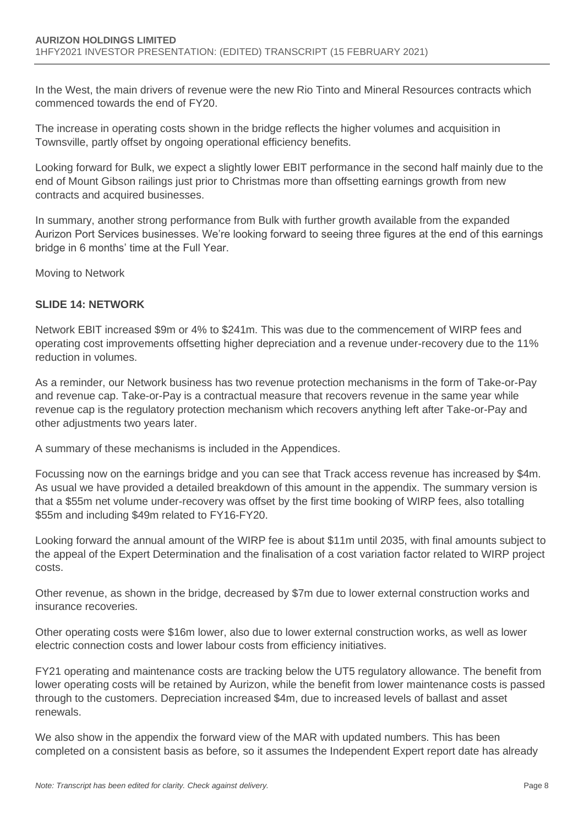In the West, the main drivers of revenue were the new Rio Tinto and Mineral Resources contracts which commenced towards the end of FY20.

The increase in operating costs shown in the bridge reflects the higher volumes and acquisition in Townsville, partly offset by ongoing operational efficiency benefits.

Looking forward for Bulk, we expect a slightly lower EBIT performance in the second half mainly due to the end of Mount Gibson railings just prior to Christmas more than offsetting earnings growth from new contracts and acquired businesses.

In summary, another strong performance from Bulk with further growth available from the expanded Aurizon Port Services businesses. We're looking forward to seeing three figures at the end of this earnings bridge in 6 months' time at the Full Year.

Moving to Network

## **SLIDE 14: NETWORK**

Network EBIT increased \$9m or 4% to \$241m. This was due to the commencement of WIRP fees and operating cost improvements offsetting higher depreciation and a revenue under-recovery due to the 11% reduction in volumes.

As a reminder, our Network business has two revenue protection mechanisms in the form of Take-or-Pay and revenue cap. Take-or-Pay is a contractual measure that recovers revenue in the same year while revenue cap is the regulatory protection mechanism which recovers anything left after Take-or-Pay and other adjustments two years later.

A summary of these mechanisms is included in the Appendices.

Focussing now on the earnings bridge and you can see that Track access revenue has increased by \$4m. As usual we have provided a detailed breakdown of this amount in the appendix. The summary version is that a \$55m net volume under-recovery was offset by the first time booking of WIRP fees, also totalling \$55m and including \$49m related to FY16-FY20.

Looking forward the annual amount of the WIRP fee is about \$11m until 2035, with final amounts subject to the appeal of the Expert Determination and the finalisation of a cost variation factor related to WIRP project costs.

Other revenue, as shown in the bridge, decreased by \$7m due to lower external construction works and insurance recoveries.

Other operating costs were \$16m lower, also due to lower external construction works, as well as lower electric connection costs and lower labour costs from efficiency initiatives.

FY21 operating and maintenance costs are tracking below the UT5 regulatory allowance. The benefit from lower operating costs will be retained by Aurizon, while the benefit from lower maintenance costs is passed through to the customers. Depreciation increased \$4m, due to increased levels of ballast and asset renewals.

We also show in the appendix the forward view of the MAR with updated numbers. This has been completed on a consistent basis as before, so it assumes the Independent Expert report date has already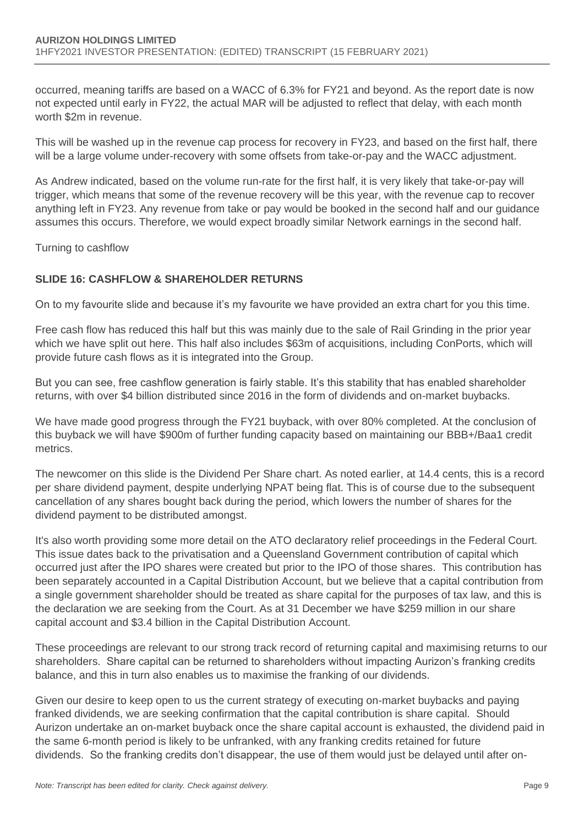occurred, meaning tariffs are based on a WACC of 6.3% for FY21 and beyond. As the report date is now not expected until early in FY22, the actual MAR will be adjusted to reflect that delay, with each month worth \$2m in revenue.

This will be washed up in the revenue cap process for recovery in FY23, and based on the first half, there will be a large volume under-recovery with some offsets from take-or-pay and the WACC adjustment.

As Andrew indicated, based on the volume run-rate for the first half, it is very likely that take-or-pay will trigger, which means that some of the revenue recovery will be this year, with the revenue cap to recover anything left in FY23. Any revenue from take or pay would be booked in the second half and our guidance assumes this occurs. Therefore, we would expect broadly similar Network earnings in the second half.

Turning to cashflow

#### **SLIDE 16: CASHFLOW & SHAREHOLDER RETURNS**

On to my favourite slide and because it's my favourite we have provided an extra chart for you this time.

Free cash flow has reduced this half but this was mainly due to the sale of Rail Grinding in the prior year which we have split out here. This half also includes \$63m of acquisitions, including ConPorts, which will provide future cash flows as it is integrated into the Group.

But you can see, free cashflow generation is fairly stable. It's this stability that has enabled shareholder returns, with over \$4 billion distributed since 2016 in the form of dividends and on-market buybacks.

We have made good progress through the FY21 buyback, with over 80% completed. At the conclusion of this buyback we will have \$900m of further funding capacity based on maintaining our BBB+/Baa1 credit metrics.

The newcomer on this slide is the Dividend Per Share chart. As noted earlier, at 14.4 cents, this is a record per share dividend payment, despite underlying NPAT being flat. This is of course due to the subsequent cancellation of any shares bought back during the period, which lowers the number of shares for the dividend payment to be distributed amongst.

It's also worth providing some more detail on the ATO declaratory relief proceedings in the Federal Court. This issue dates back to the privatisation and a Queensland Government contribution of capital which occurred just after the IPO shares were created but prior to the IPO of those shares. This contribution has been separately accounted in a Capital Distribution Account, but we believe that a capital contribution from a single government shareholder should be treated as share capital for the purposes of tax law, and this is the declaration we are seeking from the Court. As at 31 December we have \$259 million in our share capital account and \$3.4 billion in the Capital Distribution Account.

These proceedings are relevant to our strong track record of returning capital and maximising returns to our shareholders. Share capital can be returned to shareholders without impacting Aurizon's franking credits balance, and this in turn also enables us to maximise the franking of our dividends.

Given our desire to keep open to us the current strategy of executing on-market buybacks and paying franked dividends, we are seeking confirmation that the capital contribution is share capital. Should Aurizon undertake an on-market buyback once the share capital account is exhausted, the dividend paid in the same 6-month period is likely to be unfranked, with any franking credits retained for future dividends. So the franking credits don't disappear, the use of them would just be delayed until after on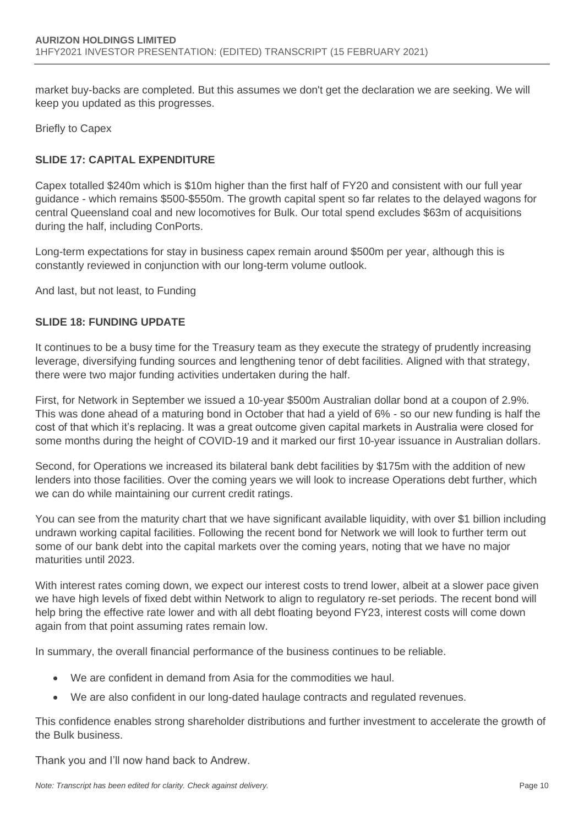market buy-backs are completed. But this assumes we don't get the declaration we are seeking. We will keep you updated as this progresses.

Briefly to Capex

## **SLIDE 17: CAPITAL EXPENDITURE**

Capex totalled \$240m which is \$10m higher than the first half of FY20 and consistent with our full year guidance - which remains \$500-\$550m. The growth capital spent so far relates to the delayed wagons for central Queensland coal and new locomotives for Bulk. Our total spend excludes \$63m of acquisitions during the half, including ConPorts.

Long-term expectations for stay in business capex remain around \$500m per year, although this is constantly reviewed in conjunction with our long-term volume outlook.

And last, but not least, to Funding

#### **SLIDE 18: FUNDING UPDATE**

It continues to be a busy time for the Treasury team as they execute the strategy of prudently increasing leverage, diversifying funding sources and lengthening tenor of debt facilities. Aligned with that strategy, there were two major funding activities undertaken during the half.

First, for Network in September we issued a 10-year \$500m Australian dollar bond at a coupon of 2.9%. This was done ahead of a maturing bond in October that had a yield of 6% - so our new funding is half the cost of that which it's replacing. It was a great outcome given capital markets in Australia were closed for some months during the height of COVID-19 and it marked our first 10-year issuance in Australian dollars.

Second, for Operations we increased its bilateral bank debt facilities by \$175m with the addition of new lenders into those facilities. Over the coming years we will look to increase Operations debt further, which we can do while maintaining our current credit ratings.

You can see from the maturity chart that we have significant available liquidity, with over \$1 billion including undrawn working capital facilities. Following the recent bond for Network we will look to further term out some of our bank debt into the capital markets over the coming years, noting that we have no major maturities until 2023.

With interest rates coming down, we expect our interest costs to trend lower, albeit at a slower pace given we have high levels of fixed debt within Network to align to regulatory re-set periods. The recent bond will help bring the effective rate lower and with all debt floating beyond FY23, interest costs will come down again from that point assuming rates remain low.

In summary, the overall financial performance of the business continues to be reliable.

- We are confident in demand from Asia for the commodities we haul.
- We are also confident in our long-dated haulage contracts and regulated revenues.

This confidence enables strong shareholder distributions and further investment to accelerate the growth of the Bulk business.

Thank you and I'll now hand back to Andrew.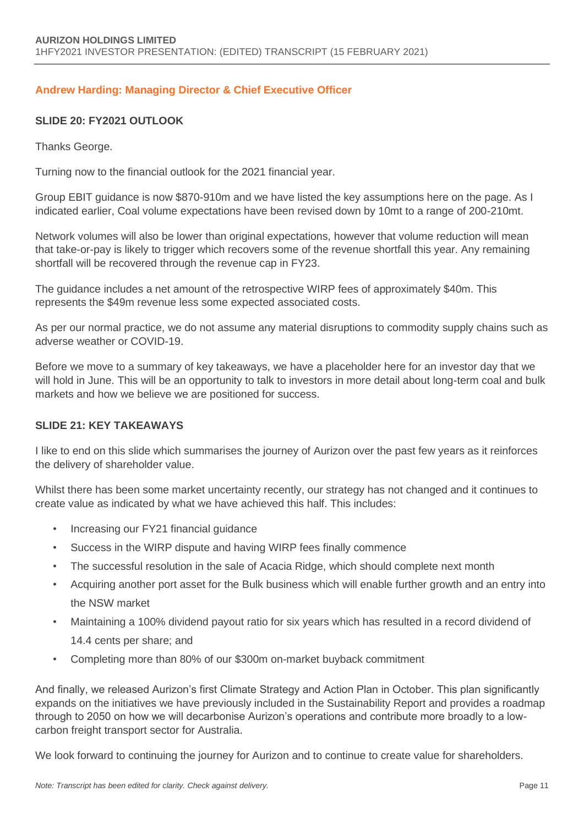## **Andrew Harding: Managing Director & Chief Executive Officer**

#### **SLIDE 20: FY2021 OUTLOOK**

Thanks George.

Turning now to the financial outlook for the 2021 financial year.

Group EBIT guidance is now \$870-910m and we have listed the key assumptions here on the page. As I indicated earlier, Coal volume expectations have been revised down by 10mt to a range of 200-210mt.

Network volumes will also be lower than original expectations, however that volume reduction will mean that take-or-pay is likely to trigger which recovers some of the revenue shortfall this year. Any remaining shortfall will be recovered through the revenue cap in FY23.

The guidance includes a net amount of the retrospective WIRP fees of approximately \$40m. This represents the \$49m revenue less some expected associated costs.

As per our normal practice, we do not assume any material disruptions to commodity supply chains such as adverse weather or COVID-19.

Before we move to a summary of key takeaways, we have a placeholder here for an investor day that we will hold in June. This will be an opportunity to talk to investors in more detail about long-term coal and bulk markets and how we believe we are positioned for success.

#### **SLIDE 21: KEY TAKEAWAYS**

I like to end on this slide which summarises the journey of Aurizon over the past few years as it reinforces the delivery of shareholder value.

Whilst there has been some market uncertainty recently, our strategy has not changed and it continues to create value as indicated by what we have achieved this half. This includes:

- Increasing our FY21 financial guidance
- Success in the WIRP dispute and having WIRP fees finally commence
- The successful resolution in the sale of Acacia Ridge, which should complete next month
- Acquiring another port asset for the Bulk business which will enable further growth and an entry into the NSW market
- Maintaining a 100% dividend payout ratio for six years which has resulted in a record dividend of 14.4 cents per share; and
- Completing more than 80% of our \$300m on-market buyback commitment

And finally, we released Aurizon's first Climate Strategy and Action Plan in October. This plan significantly expands on the initiatives we have previously included in the Sustainability Report and provides a roadmap through to 2050 on how we will decarbonise Aurizon's operations and contribute more broadly to a lowcarbon freight transport sector for Australia.

We look forward to continuing the journey for Aurizon and to continue to create value for shareholders.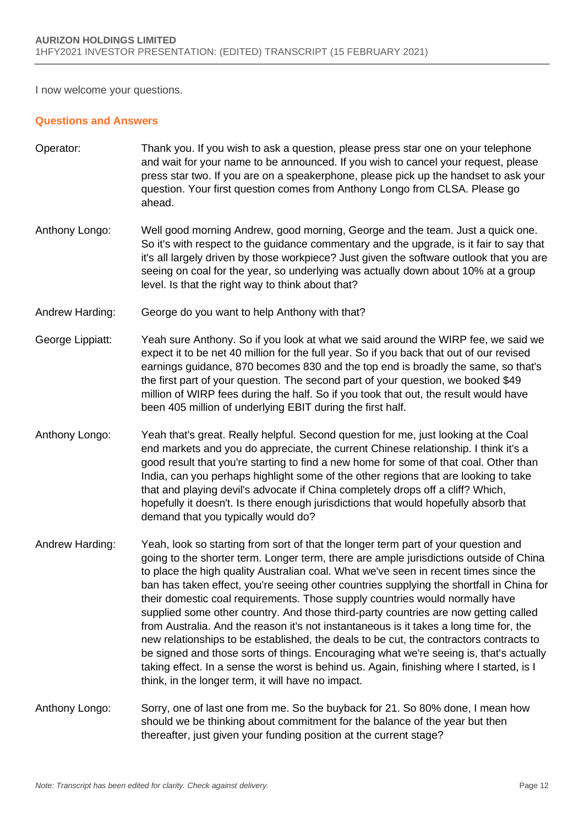I now welcome your questions.

#### **Questions and Answers**

- Operator: Thank you. If you wish to ask a question, please press star one on your telephone and wait for your name to be announced. If you wish to cancel your request, please press star two. If you are on a speakerphone, please pick up the handset to ask your question. Your first question comes from Anthony Longo from CLSA. Please go ahead.
- Anthony Longo: Well good morning Andrew, good morning, George and the team. Just a quick one. So it's with respect to the guidance commentary and the upgrade, is it fair to say that it's all largely driven by those workpiece? Just given the software outlook that you are seeing on coal for the year, so underlying was actually down about 10% at a group level. Is that the right way to think about that?
- Andrew Harding: George do you want to help Anthony with that?
- George Lippiatt: Yeah sure Anthony. So if you look at what we said around the WIRP fee, we said we expect it to be net 40 million for the full year. So if you back that out of our revised earnings guidance, 870 becomes 830 and the top end is broadly the same, so that's the first part of your question. The second part of your question, we booked \$49 million of WIRP fees during the half. So if you took that out, the result would have been 405 million of underlying EBIT during the first half.
- Anthony Longo: Yeah that's great. Really helpful. Second question for me, just looking at the Coal end markets and you do appreciate, the current Chinese relationship. I think it's a good result that you're starting to find a new home for some of that coal. Other than India, can you perhaps highlight some of the other regions that are looking to take that and playing devil's advocate if China completely drops off a cliff? Which, hopefully it doesn't. Is there enough jurisdictions that would hopefully absorb that demand that you typically would do?
- Andrew Harding: Yeah, look so starting from sort of that the longer term part of your question and going to the shorter term. Longer term, there are ample jurisdictions outside of China to place the high quality Australian coal. What we've seen in recent times since the ban has taken effect, you're seeing other countries supplying the shortfall in China for their domestic coal requirements. Those supply countries would normally have supplied some other country. And those third-party countries are now getting called from Australia. And the reason it's not instantaneous is it takes a long time for, the new relationships to be established, the deals to be cut, the contractors contracts to be signed and those sorts of things. Encouraging what we're seeing is, that's actually taking effect. In a sense the worst is behind us. Again, finishing where I started, is I think, in the longer term, it will have no impact.
- Anthony Longo: Sorry, one of last one from me. So the buyback for 21. So 80% done, I mean how should we be thinking about commitment for the balance of the year but then thereafter, just given your funding position at the current stage?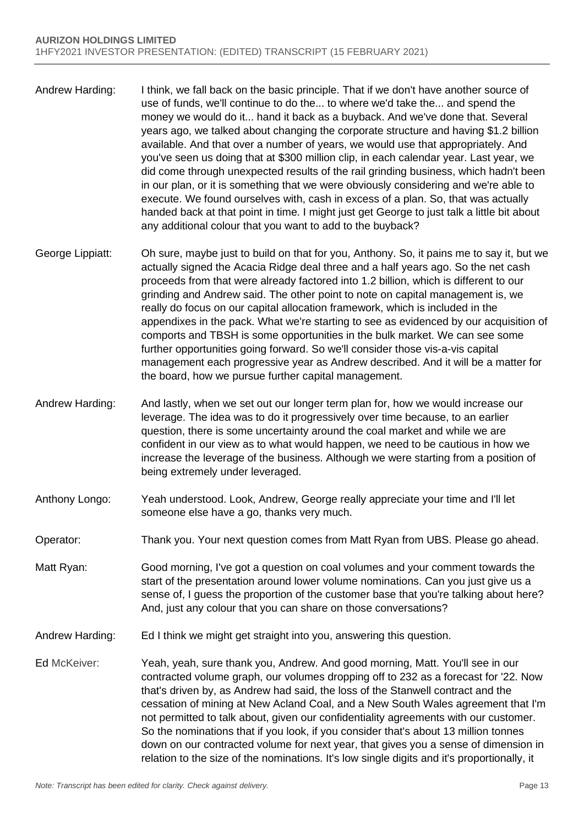- Andrew Harding: I think, we fall back on the basic principle. That if we don't have another source of use of funds, we'll continue to do the... to where we'd take the... and spend the money we would do it... hand it back as a buyback. And we've done that. Several years ago, we talked about changing the corporate structure and having \$1.2 billion available. And that over a number of years, we would use that appropriately. And you've seen us doing that at \$300 million clip, in each calendar year. Last year, we did come through unexpected results of the rail grinding business, which hadn't been in our plan, or it is something that we were obviously considering and we're able to execute. We found ourselves with, cash in excess of a plan. So, that was actually handed back at that point in time. I might just get George to just talk a little bit about any additional colour that you want to add to the buyback?
- George Lippiatt: Oh sure, maybe just to build on that for you, Anthony. So, it pains me to say it, but we actually signed the Acacia Ridge deal three and a half years ago. So the net cash proceeds from that were already factored into 1.2 billion, which is different to our grinding and Andrew said. The other point to note on capital management is, we really do focus on our capital allocation framework, which is included in the appendixes in the pack. What we're starting to see as evidenced by our acquisition of comports and TBSH is some opportunities in the bulk market. We can see some further opportunities going forward. So we'll consider those vis-a-vis capital management each progressive year as Andrew described. And it will be a matter for the board, how we pursue further capital management.
- Andrew Harding: And lastly, when we set out our longer term plan for, how we would increase our leverage. The idea was to do it progressively over time because, to an earlier question, there is some uncertainty around the coal market and while we are confident in our view as to what would happen, we need to be cautious in how we increase the leverage of the business. Although we were starting from a position of being extremely under leveraged.
- Anthony Longo: Yeah understood. Look, Andrew, George really appreciate your time and I'll let someone else have a go, thanks very much.
- Operator: Thank you. Your next question comes from Matt Ryan from UBS. Please go ahead.
- Matt Ryan: Good morning, I've got a question on coal volumes and your comment towards the start of the presentation around lower volume nominations. Can you just give us a sense of, I guess the proportion of the customer base that you're talking about here? And, just any colour that you can share on those conversations?
- Andrew Harding: Ed I think we might get straight into you, answering this question.
- Ed McKeiver: Yeah, yeah, sure thank you, Andrew. And good morning, Matt. You'll see in our contracted volume graph, our volumes dropping off to 232 as a forecast for '22. Now that's driven by, as Andrew had said, the loss of the Stanwell contract and the cessation of mining at New Acland Coal, and a New South Wales agreement that I'm not permitted to talk about, given our confidentiality agreements with our customer. So the nominations that if you look, if you consider that's about 13 million tonnes down on our contracted volume for next year, that gives you a sense of dimension in relation to the size of the nominations. It's low single digits and it's proportionally, it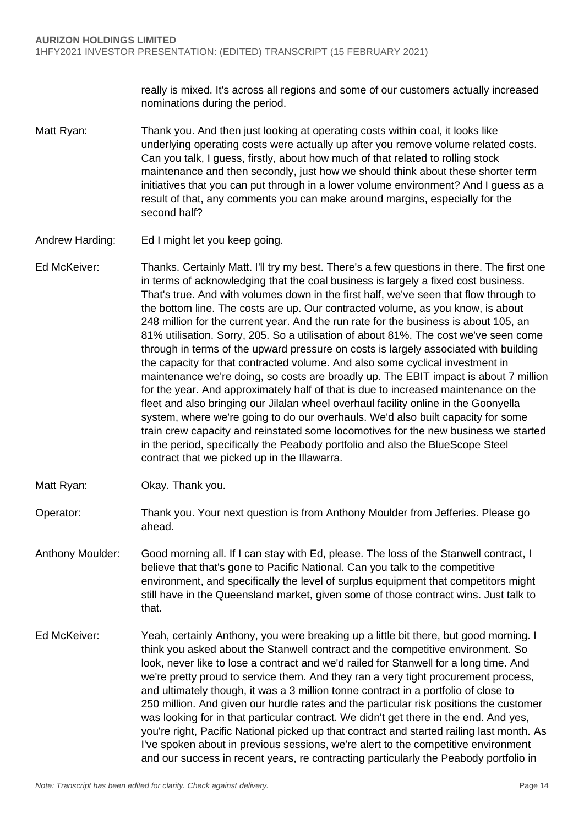really is mixed. It's across all regions and some of our customers actually increased nominations during the period.

- Matt Ryan: Thank you. And then just looking at operating costs within coal, it looks like underlying operating costs were actually up after you remove volume related costs. Can you talk, I guess, firstly, about how much of that related to rolling stock maintenance and then secondly, just how we should think about these shorter term initiatives that you can put through in a lower volume environment? And I guess as a result of that, any comments you can make around margins, especially for the second half?
- Andrew Harding: Ed I might let you keep going.
- Ed McKeiver: Thanks. Certainly Matt. I'll try my best. There's a few questions in there. The first one in terms of acknowledging that the coal business is largely a fixed cost business. That's true. And with volumes down in the first half, we've seen that flow through to the bottom line. The costs are up. Our contracted volume, as you know, is about 248 million for the current year. And the run rate for the business is about 105, an 81% utilisation. Sorry, 205. So a utilisation of about 81%. The cost we've seen come through in terms of the upward pressure on costs is largely associated with building the capacity for that contracted volume. And also some cyclical investment in maintenance we're doing, so costs are broadly up. The EBIT impact is about 7 million for the year. And approximately half of that is due to increased maintenance on the fleet and also bringing our Jilalan wheel overhaul facility online in the Goonyella system, where we're going to do our overhauls. We'd also built capacity for some train crew capacity and reinstated some locomotives for the new business we started in the period, specifically the Peabody portfolio and also the BlueScope Steel contract that we picked up in the Illawarra.
- Matt Ryan: Okay. Thank you.
- Operator: Thank you. Your next question is from Anthony Moulder from Jefferies. Please go ahead.
- Anthony Moulder: Good morning all. If I can stay with Ed, please. The loss of the Stanwell contract, I believe that that's gone to Pacific National. Can you talk to the competitive environment, and specifically the level of surplus equipment that competitors might still have in the Queensland market, given some of those contract wins. Just talk to that.
- Ed McKeiver: Yeah, certainly Anthony, you were breaking up a little bit there, but good morning. I think you asked about the Stanwell contract and the competitive environment. So look, never like to lose a contract and we'd railed for Stanwell for a long time. And we're pretty proud to service them. And they ran a very tight procurement process, and ultimately though, it was a 3 million tonne contract in a portfolio of close to 250 million. And given our hurdle rates and the particular risk positions the customer was looking for in that particular contract. We didn't get there in the end. And yes, you're right, Pacific National picked up that contract and started railing last month. As I've spoken about in previous sessions, we're alert to the competitive environment and our success in recent years, re contracting particularly the Peabody portfolio in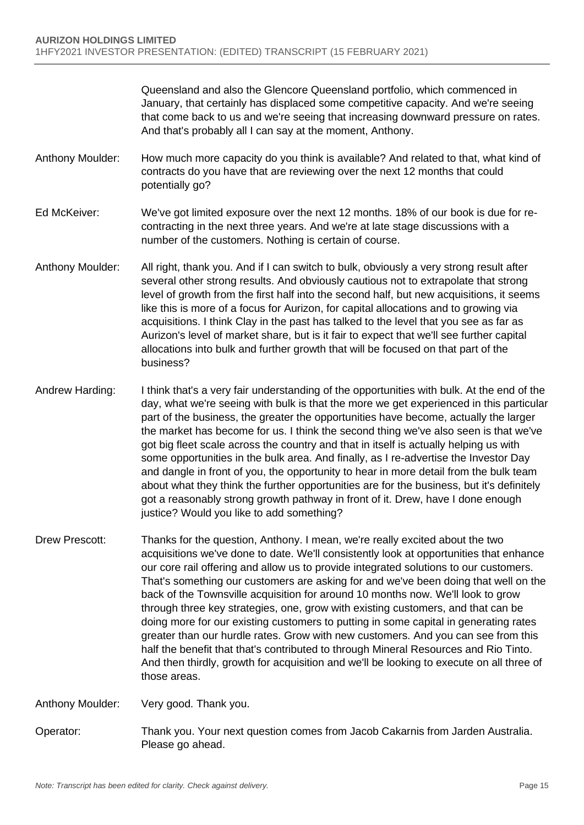Queensland and also the Glencore Queensland portfolio, which commenced in January, that certainly has displaced some competitive capacity. And we're seeing that come back to us and we're seeing that increasing downward pressure on rates. And that's probably all I can say at the moment, Anthony.

- Anthony Moulder: How much more capacity do you think is available? And related to that, what kind of contracts do you have that are reviewing over the next 12 months that could potentially go?
- Ed McKeiver: We've got limited exposure over the next 12 months. 18% of our book is due for recontracting in the next three years. And we're at late stage discussions with a number of the customers. Nothing is certain of course.
- Anthony Moulder: All right, thank you. And if I can switch to bulk, obviously a very strong result after several other strong results. And obviously cautious not to extrapolate that strong level of growth from the first half into the second half, but new acquisitions, it seems like this is more of a focus for Aurizon, for capital allocations and to growing via acquisitions. I think Clay in the past has talked to the level that you see as far as Aurizon's level of market share, but is it fair to expect that we'll see further capital allocations into bulk and further growth that will be focused on that part of the business?
- Andrew Harding: I think that's a very fair understanding of the opportunities with bulk. At the end of the day, what we're seeing with bulk is that the more we get experienced in this particular part of the business, the greater the opportunities have become, actually the larger the market has become for us. I think the second thing we've also seen is that we've got big fleet scale across the country and that in itself is actually helping us with some opportunities in the bulk area. And finally, as I re-advertise the Investor Day and dangle in front of you, the opportunity to hear in more detail from the bulk team about what they think the further opportunities are for the business, but it's definitely got a reasonably strong growth pathway in front of it. Drew, have I done enough justice? Would you like to add something?
- Drew Prescott: Thanks for the question, Anthony. I mean, we're really excited about the two acquisitions we've done to date. We'll consistently look at opportunities that enhance our core rail offering and allow us to provide integrated solutions to our customers. That's something our customers are asking for and we've been doing that well on the back of the Townsville acquisition for around 10 months now. We'll look to grow through three key strategies, one, grow with existing customers, and that can be doing more for our existing customers to putting in some capital in generating rates greater than our hurdle rates. Grow with new customers. And you can see from this half the benefit that that's contributed to through Mineral Resources and Rio Tinto. And then thirdly, growth for acquisition and we'll be looking to execute on all three of those areas.

Anthony Moulder: Very good. Thank you.

Operator: Thank you. Your next question comes from Jacob Cakarnis from Jarden Australia. Please go ahead.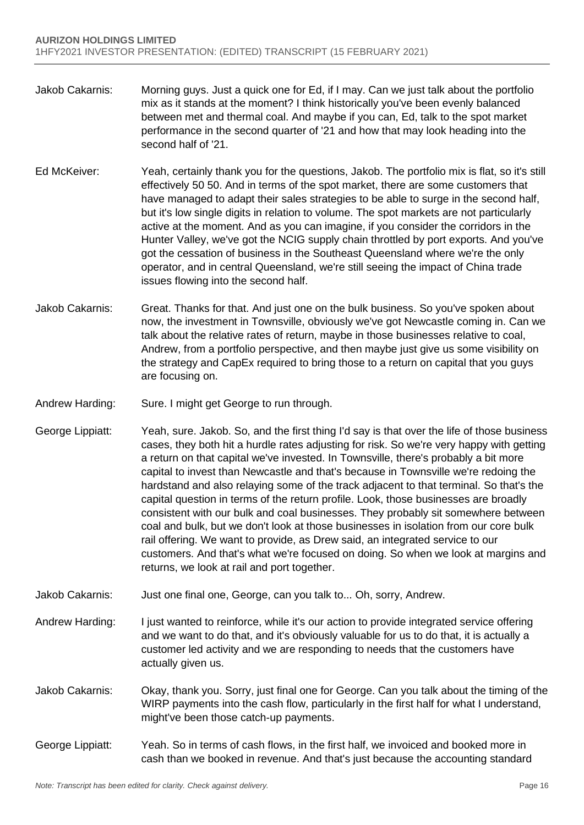- Jakob Cakarnis: Morning guys. Just a quick one for Ed, if I may. Can we just talk about the portfolio mix as it stands at the moment? I think historically you've been evenly balanced between met and thermal coal. And maybe if you can, Ed, talk to the spot market performance in the second quarter of '21 and how that may look heading into the second half of '21.
- Ed McKeiver: Yeah, certainly thank you for the questions, Jakob. The portfolio mix is flat, so it's still effectively 50 50. And in terms of the spot market, there are some customers that have managed to adapt their sales strategies to be able to surge in the second half, but it's low single digits in relation to volume. The spot markets are not particularly active at the moment. And as you can imagine, if you consider the corridors in the Hunter Valley, we've got the NCIG supply chain throttled by port exports. And you've got the cessation of business in the Southeast Queensland where we're the only operator, and in central Queensland, we're still seeing the impact of China trade issues flowing into the second half.
- Jakob Cakarnis: Great. Thanks for that. And just one on the bulk business. So you've spoken about now, the investment in Townsville, obviously we've got Newcastle coming in. Can we talk about the relative rates of return, maybe in those businesses relative to coal, Andrew, from a portfolio perspective, and then maybe just give us some visibility on the strategy and CapEx required to bring those to a return on capital that you guys are focusing on.
- Andrew Harding: Sure. I might get George to run through.
- George Lippiatt: Yeah, sure. Jakob. So, and the first thing I'd say is that over the life of those business cases, they both hit a hurdle rates adjusting for risk. So we're very happy with getting a return on that capital we've invested. In Townsville, there's probably a bit more capital to invest than Newcastle and that's because in Townsville we're redoing the hardstand and also relaying some of the track adjacent to that terminal. So that's the capital question in terms of the return profile. Look, those businesses are broadly consistent with our bulk and coal businesses. They probably sit somewhere between coal and bulk, but we don't look at those businesses in isolation from our core bulk rail offering. We want to provide, as Drew said, an integrated service to our customers. And that's what we're focused on doing. So when we look at margins and returns, we look at rail and port together.
- Jakob Cakarnis: Just one final one, George, can you talk to... Oh, sorry, Andrew.
- Andrew Harding: I just wanted to reinforce, while it's our action to provide integrated service offering and we want to do that, and it's obviously valuable for us to do that, it is actually a customer led activity and we are responding to needs that the customers have actually given us.
- Jakob Cakarnis: Okay, thank you. Sorry, just final one for George. Can you talk about the timing of the WIRP payments into the cash flow, particularly in the first half for what I understand, might've been those catch-up payments.
- George Lippiatt: Yeah. So in terms of cash flows, in the first half, we invoiced and booked more in cash than we booked in revenue. And that's just because the accounting standard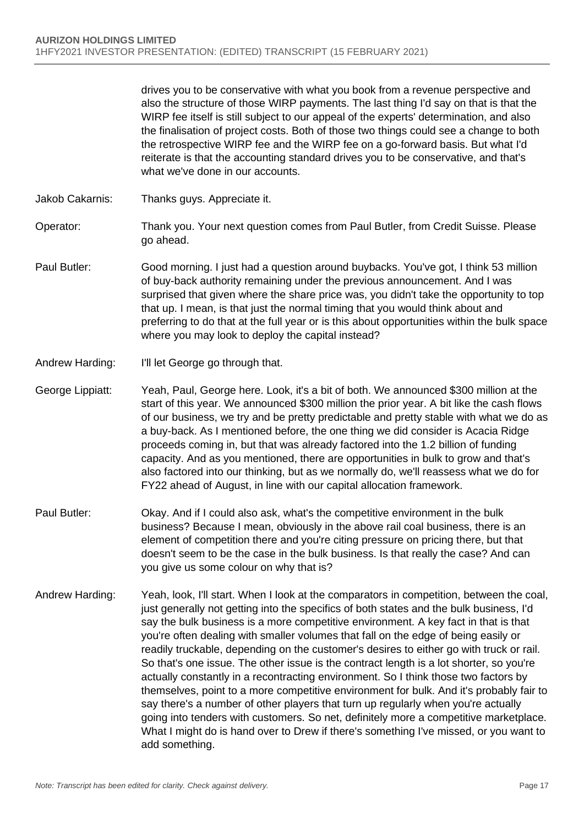drives you to be conservative with what you book from a revenue perspective and also the structure of those WIRP payments. The last thing I'd say on that is that the WIRP fee itself is still subject to our appeal of the experts' determination, and also the finalisation of project costs. Both of those two things could see a change to both the retrospective WIRP fee and the WIRP fee on a go-forward basis. But what I'd reiterate is that the accounting standard drives you to be conservative, and that's what we've done in our accounts.

- Jakob Cakarnis: Thanks guys. Appreciate it.
- Operator: Thank you. Your next question comes from Paul Butler, from Credit Suisse. Please go ahead.
- Paul Butler: Good morning. I just had a question around buybacks. You've got, I think 53 million of buy-back authority remaining under the previous announcement. And I was surprised that given where the share price was, you didn't take the opportunity to top that up. I mean, is that just the normal timing that you would think about and preferring to do that at the full year or is this about opportunities within the bulk space where you may look to deploy the capital instead?
- Andrew Harding: I'll let George go through that.
- George Lippiatt: Yeah, Paul, George here. Look, it's a bit of both. We announced \$300 million at the start of this year. We announced \$300 million the prior year. A bit like the cash flows of our business, we try and be pretty predictable and pretty stable with what we do as a buy-back. As I mentioned before, the one thing we did consider is Acacia Ridge proceeds coming in, but that was already factored into the 1.2 billion of funding capacity. And as you mentioned, there are opportunities in bulk to grow and that's also factored into our thinking, but as we normally do, we'll reassess what we do for FY22 ahead of August, in line with our capital allocation framework.
- Paul Butler: Okay. And if I could also ask, what's the competitive environment in the bulk business? Because I mean, obviously in the above rail coal business, there is an element of competition there and you're citing pressure on pricing there, but that doesn't seem to be the case in the bulk business. Is that really the case? And can you give us some colour on why that is?
- Andrew Harding: Yeah, look, I'll start. When I look at the comparators in competition, between the coal, just generally not getting into the specifics of both states and the bulk business, I'd say the bulk business is a more competitive environment. A key fact in that is that you're often dealing with smaller volumes that fall on the edge of being easily or readily truckable, depending on the customer's desires to either go with truck or rail. So that's one issue. The other issue is the contract length is a lot shorter, so you're actually constantly in a recontracting environment. So I think those two factors by themselves, point to a more competitive environment for bulk. And it's probably fair to say there's a number of other players that turn up regularly when you're actually going into tenders with customers. So net, definitely more a competitive marketplace. What I might do is hand over to Drew if there's something I've missed, or you want to add something.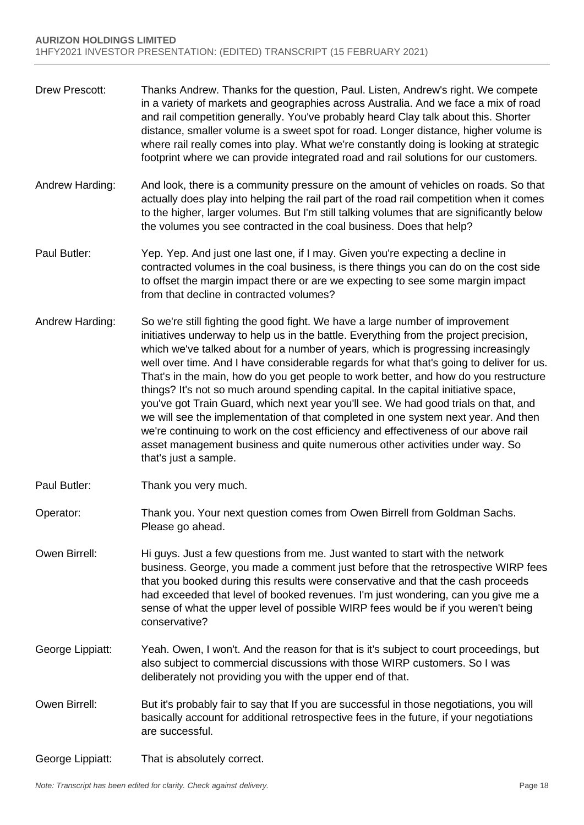- Drew Prescott: Thanks Andrew. Thanks for the question, Paul. Listen, Andrew's right. We compete in a variety of markets and geographies across Australia. And we face a mix of road and rail competition generally. You've probably heard Clay talk about this. Shorter distance, smaller volume is a sweet spot for road. Longer distance, higher volume is where rail really comes into play. What we're constantly doing is looking at strategic footprint where we can provide integrated road and rail solutions for our customers.
- Andrew Harding: And look, there is a community pressure on the amount of vehicles on roads. So that actually does play into helping the rail part of the road rail competition when it comes to the higher, larger volumes. But I'm still talking volumes that are significantly below the volumes you see contracted in the coal business. Does that help?
- Paul Butler: Yep. Yep. And just one last one, if I may. Given you're expecting a decline in contracted volumes in the coal business, is there things you can do on the cost side to offset the margin impact there or are we expecting to see some margin impact from that decline in contracted volumes?
- Andrew Harding: So we're still fighting the good fight. We have a large number of improvement initiatives underway to help us in the battle. Everything from the project precision, which we've talked about for a number of years, which is progressing increasingly well over time. And I have considerable regards for what that's going to deliver for us. That's in the main, how do you get people to work better, and how do you restructure things? It's not so much around spending capital. In the capital initiative space, you've got Train Guard, which next year you'll see. We had good trials on that, and we will see the implementation of that completed in one system next year. And then we're continuing to work on the cost efficiency and effectiveness of our above rail asset management business and quite numerous other activities under way. So that's just a sample.
- Paul Butler: Thank you very much.
- Operator: Thank you. Your next question comes from Owen Birrell from Goldman Sachs. Please go ahead.
- Owen Birrell: Hi guys. Just a few questions from me. Just wanted to start with the network business. George, you made a comment just before that the retrospective WIRP fees that you booked during this results were conservative and that the cash proceeds had exceeded that level of booked revenues. I'm just wondering, can you give me a sense of what the upper level of possible WIRP fees would be if you weren't being conservative?
- George Lippiatt: Yeah. Owen, I won't. And the reason for that is it's subject to court proceedings, but also subject to commercial discussions with those WIRP customers. So I was deliberately not providing you with the upper end of that.
- Owen Birrell: But it's probably fair to say that If you are successful in those negotiations, you will basically account for additional retrospective fees in the future, if your negotiations are successful.
- George Lippiatt: That is absolutely correct.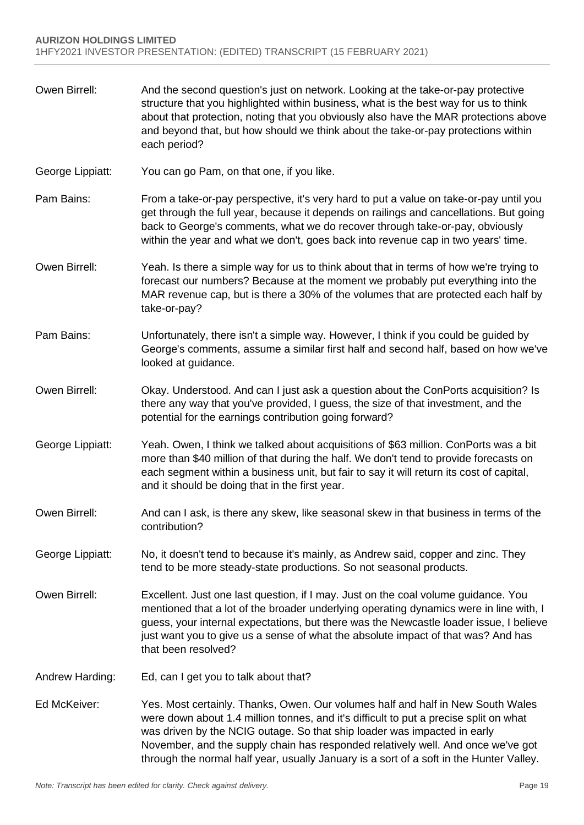- Owen Birrell: And the second question's just on network. Looking at the take-or-pay protective structure that you highlighted within business, what is the best way for us to think about that protection, noting that you obviously also have the MAR protections above and beyond that, but how should we think about the take-or-pay protections within each period?
- George Lippiatt: You can go Pam, on that one, if you like.
- Pam Bains: From a take-or-pay perspective, it's very hard to put a value on take-or-pay until you get through the full year, because it depends on railings and cancellations. But going back to George's comments, what we do recover through take-or-pay, obviously within the year and what we don't, goes back into revenue cap in two years' time.
- Owen Birrell: Yeah. Is there a simple way for us to think about that in terms of how we're trying to forecast our numbers? Because at the moment we probably put everything into the MAR revenue cap, but is there a 30% of the volumes that are protected each half by take-or-pay?
- Pam Bains: Unfortunately, there isn't a simple way. However, I think if you could be guided by George's comments, assume a similar first half and second half, based on how we've looked at guidance.
- Owen Birrell: Okay. Understood. And can I just ask a question about the ConPorts acquisition? Is there any way that you've provided, I guess, the size of that investment, and the potential for the earnings contribution going forward?
- George Lippiatt: Yeah. Owen, I think we talked about acquisitions of \$63 million. ConPorts was a bit more than \$40 million of that during the half. We don't tend to provide forecasts on each segment within a business unit, but fair to say it will return its cost of capital, and it should be doing that in the first year.
- Owen Birrell: And can I ask, is there any skew, like seasonal skew in that business in terms of the contribution?
- George Lippiatt: No, it doesn't tend to because it's mainly, as Andrew said, copper and zinc. They tend to be more steady-state productions. So not seasonal products.
- Owen Birrell: Excellent. Just one last question, if I may. Just on the coal volume guidance. You mentioned that a lot of the broader underlying operating dynamics were in line with, I guess, your internal expectations, but there was the Newcastle loader issue, I believe just want you to give us a sense of what the absolute impact of that was? And has that been resolved?
- Andrew Harding: Ed, can I get you to talk about that?
- Ed McKeiver: Yes. Most certainly. Thanks, Owen. Our volumes half and half in New South Wales were down about 1.4 million tonnes, and it's difficult to put a precise split on what was driven by the NCIG outage. So that ship loader was impacted in early November, and the supply chain has responded relatively well. And once we've got through the normal half year, usually January is a sort of a soft in the Hunter Valley.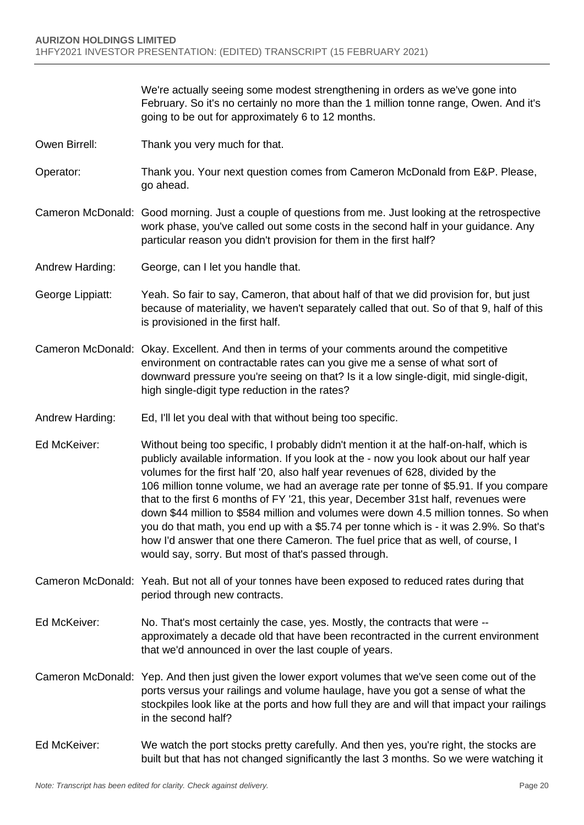We're actually seeing some modest strengthening in orders as we've gone into February. So it's no certainly no more than the 1 million tonne range, Owen. And it's going to be out for approximately 6 to 12 months.

- Owen Birrell: Thank you very much for that.
- Operator: Thank you. Your next question comes from Cameron McDonald from E&P. Please, go ahead.
- Cameron McDonald: Good morning. Just a couple of questions from me. Just looking at the retrospective work phase, you've called out some costs in the second half in your guidance. Any particular reason you didn't provision for them in the first half?
- Andrew Harding: George, can I let you handle that.
- George Lippiatt: Yeah. So fair to say, Cameron, that about half of that we did provision for, but just because of materiality, we haven't separately called that out. So of that 9, half of this is provisioned in the first half.
- Cameron McDonald: Okay. Excellent. And then in terms of your comments around the competitive environment on contractable rates can you give me a sense of what sort of downward pressure you're seeing on that? Is it a low single-digit, mid single-digit, high single-digit type reduction in the rates?
- Andrew Harding: Ed, I'll let you deal with that without being too specific.
- Ed McKeiver: Without being too specific, I probably didn't mention it at the half-on-half, which is publicly available information. If you look at the - now you look about our half year volumes for the first half '20, also half year revenues of 628, divided by the 106 million tonne volume, we had an average rate per tonne of \$5.91. If you compare that to the first 6 months of FY '21, this year, December 31st half, revenues were down \$44 million to \$584 million and volumes were down 4.5 million tonnes. So when you do that math, you end up with a \$5.74 per tonne which is - it was 2.9%. So that's how I'd answer that one there Cameron. The fuel price that as well, of course, I would say, sorry. But most of that's passed through.
- Cameron McDonald: Yeah. But not all of your tonnes have been exposed to reduced rates during that period through new contracts.
- Ed McKeiver: No. That's most certainly the case, yes. Mostly, the contracts that were approximately a decade old that have been recontracted in the current environment that we'd announced in over the last couple of years.
- Cameron McDonald: Yep. And then just given the lower export volumes that we've seen come out of the ports versus your railings and volume haulage, have you got a sense of what the stockpiles look like at the ports and how full they are and will that impact your railings in the second half?
- Ed McKeiver: We watch the port stocks pretty carefully. And then yes, you're right, the stocks are built but that has not changed significantly the last 3 months. So we were watching it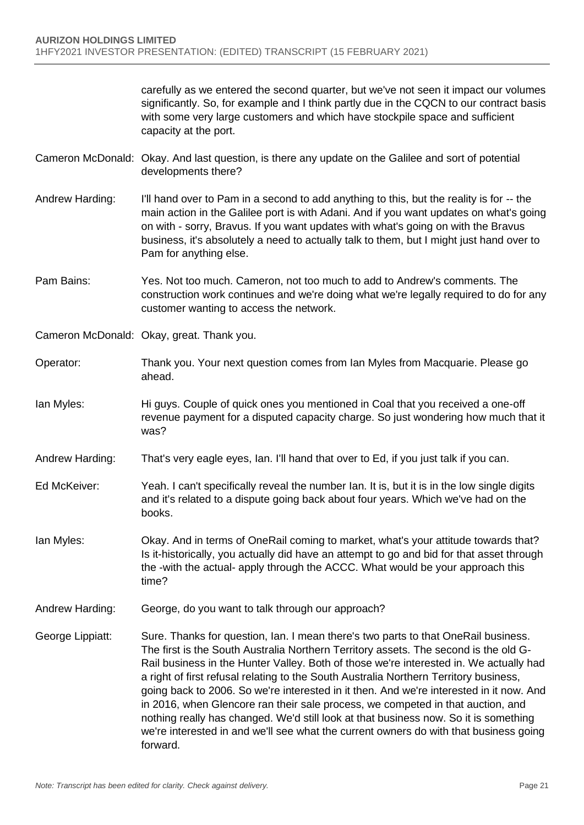carefully as we entered the second quarter, but we've not seen it impact our volumes significantly. So, for example and I think partly due in the CQCN to our contract basis with some very large customers and which have stockpile space and sufficient capacity at the port.

- Cameron McDonald: Okay. And last question, is there any update on the Galilee and sort of potential developments there?
- Andrew Harding: I'll hand over to Pam in a second to add anything to this, but the reality is for -- the main action in the Galilee port is with Adani. And if you want updates on what's going on with - sorry, Bravus. If you want updates with what's going on with the Bravus business, it's absolutely a need to actually talk to them, but I might just hand over to Pam for anything else.
- Pam Bains: Yes. Not too much. Cameron, not too much to add to Andrew's comments. The construction work continues and we're doing what we're legally required to do for any customer wanting to access the network.
- Cameron McDonald: Okay, great. Thank you.
- Operator: Thank you. Your next question comes from Ian Myles from Macquarie. Please go ahead.
- Ian Myles: Hi guys. Couple of quick ones you mentioned in Coal that you received a one-off revenue payment for a disputed capacity charge. So just wondering how much that it was?
- Andrew Harding: That's very eagle eyes, Ian. I'll hand that over to Ed, if you just talk if you can.
- Ed McKeiver: Yeah. I can't specifically reveal the number Ian. It is, but it is in the low single digits and it's related to a dispute going back about four years. Which we've had on the books.
- Ian Myles: Okay. And in terms of OneRail coming to market, what's your attitude towards that? Is it-historically, you actually did have an attempt to go and bid for that asset through the -with the actual- apply through the ACCC. What would be your approach this time?
- Andrew Harding: George, do you want to talk through our approach?
- George Lippiatt: Sure. Thanks for question, Ian. I mean there's two parts to that OneRail business. The first is the South Australia Northern Territory assets. The second is the old G-Rail business in the Hunter Valley. Both of those we're interested in. We actually had a right of first refusal relating to the South Australia Northern Territory business, going back to 2006. So we're interested in it then. And we're interested in it now. And in 2016, when Glencore ran their sale process, we competed in that auction, and nothing really has changed. We'd still look at that business now. So it is something we're interested in and we'll see what the current owners do with that business going forward.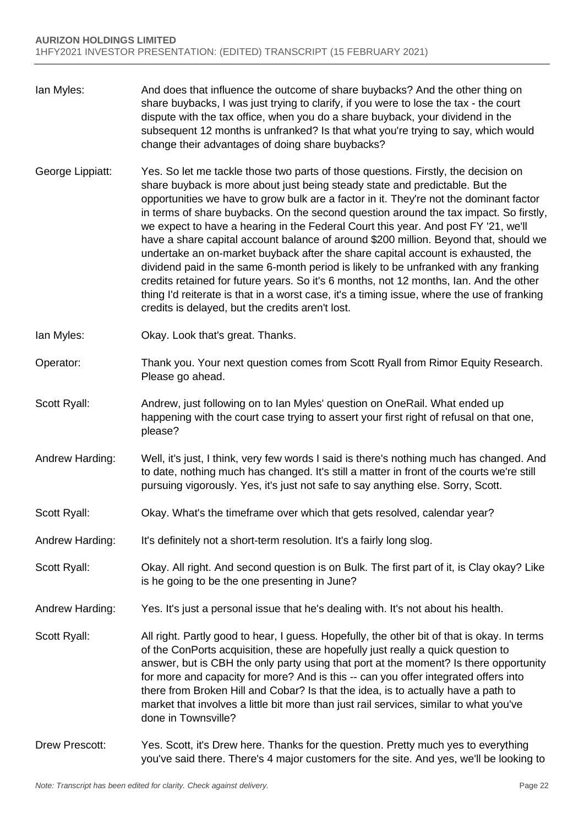- Ian Myles: And does that influence the outcome of share buybacks? And the other thing on share buybacks, I was just trying to clarify, if you were to lose the tax - the court dispute with the tax office, when you do a share buyback, your dividend in the subsequent 12 months is unfranked? Is that what you're trying to say, which would change their advantages of doing share buybacks?
- George Lippiatt: Yes. So let me tackle those two parts of those questions. Firstly, the decision on share buyback is more about just being steady state and predictable. But the opportunities we have to grow bulk are a factor in it. They're not the dominant factor in terms of share buybacks. On the second question around the tax impact. So firstly, we expect to have a hearing in the Federal Court this year. And post FY '21, we'll have a share capital account balance of around \$200 million. Beyond that, should we undertake an on-market buyback after the share capital account is exhausted, the dividend paid in the same 6-month period is likely to be unfranked with any franking credits retained for future years. So it's 6 months, not 12 months, Ian. And the other thing I'd reiterate is that in a worst case, it's a timing issue, where the use of franking credits is delayed, but the credits aren't lost.
- Ian Myles: Okay. Look that's great. Thanks.
- Operator: Thank you. Your next question comes from Scott Ryall from Rimor Equity Research. Please go ahead.
- Scott Ryall: Andrew, just following on to Ian Myles' question on OneRail. What ended up happening with the court case trying to assert your first right of refusal on that one, please?
- Andrew Harding: Well, it's just, I think, very few words I said is there's nothing much has changed. And to date, nothing much has changed. It's still a matter in front of the courts we're still pursuing vigorously. Yes, it's just not safe to say anything else. Sorry, Scott.
- Scott Ryall: Okay. What's the timeframe over which that gets resolved, calendar year?
- Andrew Harding: It's definitely not a short-term resolution. It's a fairly long slog.
- Scott Ryall: Okay. All right. And second question is on Bulk. The first part of it, is Clay okay? Like is he going to be the one presenting in June?
- Andrew Harding: Yes. It's just a personal issue that he's dealing with. It's not about his health.
- Scott Ryall: All right. Partly good to hear, I guess. Hopefully, the other bit of that is okay. In terms of the ConPorts acquisition, these are hopefully just really a quick question to answer, but is CBH the only party using that port at the moment? Is there opportunity for more and capacity for more? And is this -- can you offer integrated offers into there from Broken Hill and Cobar? Is that the idea, is to actually have a path to market that involves a little bit more than just rail services, similar to what you've done in Townsville?
- Drew Prescott: Yes. Scott, it's Drew here. Thanks for the question. Pretty much yes to everything you've said there. There's 4 major customers for the site. And yes, we'll be looking to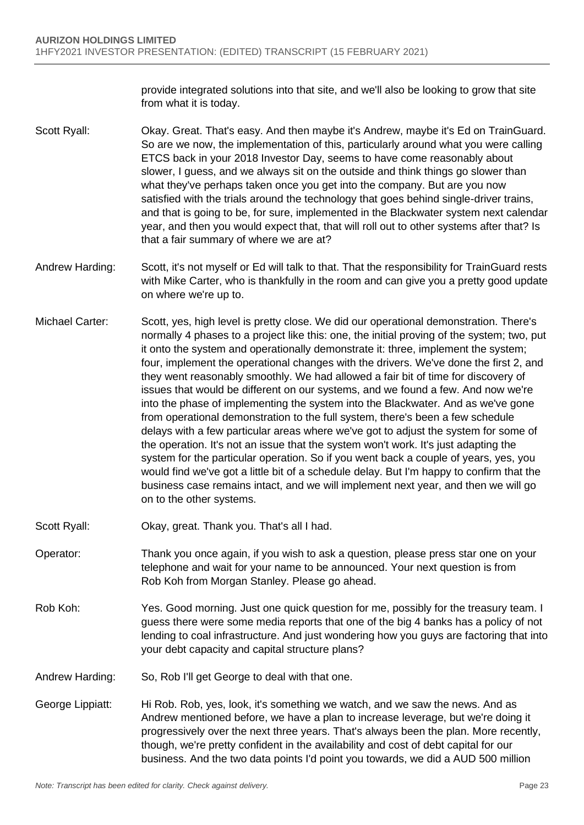provide integrated solutions into that site, and we'll also be looking to grow that site from what it is today.

- Scott Ryall: Okay. Great. That's easy. And then maybe it's Andrew, maybe it's Ed on TrainGuard. So are we now, the implementation of this, particularly around what you were calling ETCS back in your 2018 Investor Day, seems to have come reasonably about slower, I guess, and we always sit on the outside and think things go slower than what they've perhaps taken once you get into the company. But are you now satisfied with the trials around the technology that goes behind single-driver trains, and that is going to be, for sure, implemented in the Blackwater system next calendar year, and then you would expect that, that will roll out to other systems after that? Is that a fair summary of where we are at?
- Andrew Harding: Scott, it's not myself or Ed will talk to that. That the responsibility for TrainGuard rests with Mike Carter, who is thankfully in the room and can give you a pretty good update on where we're up to.
- Michael Carter: Scott, yes, high level is pretty close. We did our operational demonstration. There's normally 4 phases to a project like this: one, the initial proving of the system; two, put it onto the system and operationally demonstrate it: three, implement the system; four, implement the operational changes with the drivers. We've done the first 2, and they went reasonably smoothly. We had allowed a fair bit of time for discovery of issues that would be different on our systems, and we found a few. And now we're into the phase of implementing the system into the Blackwater. And as we've gone from operational demonstration to the full system, there's been a few schedule delays with a few particular areas where we've got to adjust the system for some of the operation. It's not an issue that the system won't work. It's just adapting the system for the particular operation. So if you went back a couple of years, yes, you would find we've got a little bit of a schedule delay. But I'm happy to confirm that the business case remains intact, and we will implement next year, and then we will go on to the other systems.
- Scott Ryall: Okay, great. Thank you. That's all I had.
- Operator: Thank you once again, if you wish to ask a question, please press star one on your telephone and wait for your name to be announced. Your next question is from Rob Koh from Morgan Stanley. Please go ahead.
- Rob Koh: Yes. Good morning. Just one quick question for me, possibly for the treasury team. I guess there were some media reports that one of the big 4 banks has a policy of not lending to coal infrastructure. And just wondering how you guys are factoring that into your debt capacity and capital structure plans?
- Andrew Harding: So, Rob I'll get George to deal with that one.
- George Lippiatt: Hi Rob. Rob, yes, look, it's something we watch, and we saw the news. And as Andrew mentioned before, we have a plan to increase leverage, but we're doing it progressively over the next three years. That's always been the plan. More recently, though, we're pretty confident in the availability and cost of debt capital for our business. And the two data points I'd point you towards, we did a AUD 500 million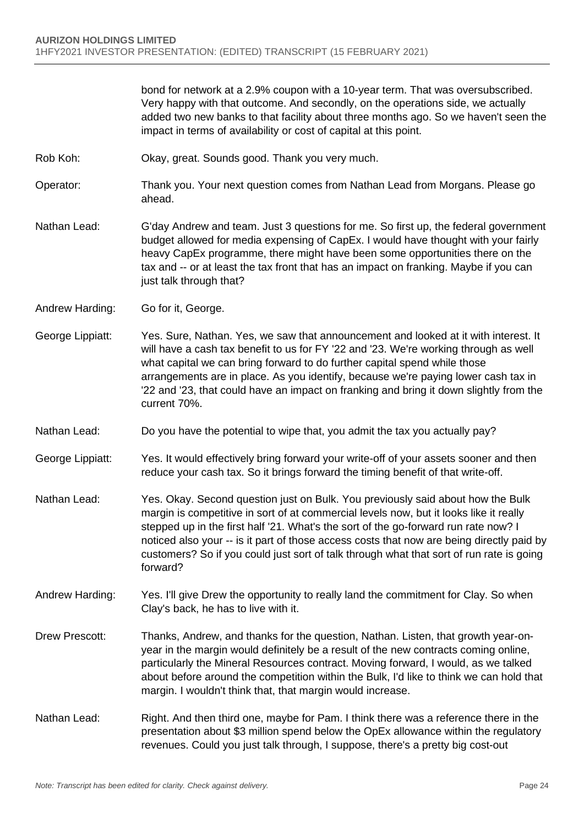bond for network at a 2.9% coupon with a 10-year term. That was oversubscribed. Very happy with that outcome. And secondly, on the operations side, we actually added two new banks to that facility about three months ago. So we haven't seen the impact in terms of availability or cost of capital at this point.

- Rob Koh: Okay, great. Sounds good. Thank you very much.
- Operator: Thank you. Your next question comes from Nathan Lead from Morgans. Please go ahead.
- Nathan Lead: G'day Andrew and team. Just 3 questions for me. So first up, the federal government budget allowed for media expensing of CapEx. I would have thought with your fairly heavy CapEx programme, there might have been some opportunities there on the tax and -- or at least the tax front that has an impact on franking. Maybe if you can just talk through that?
- Andrew Harding: Go for it, George.
- George Lippiatt: Yes. Sure, Nathan. Yes, we saw that announcement and looked at it with interest. It will have a cash tax benefit to us for FY '22 and '23. We're working through as well what capital we can bring forward to do further capital spend while those arrangements are in place. As you identify, because we're paying lower cash tax in '22 and '23, that could have an impact on franking and bring it down slightly from the current 70%.
- Nathan Lead: Do you have the potential to wipe that, you admit the tax you actually pay?
- George Lippiatt: Yes. It would effectively bring forward your write-off of your assets sooner and then reduce your cash tax. So it brings forward the timing benefit of that write-off.
- Nathan Lead: Yes. Okay. Second question just on Bulk. You previously said about how the Bulk margin is competitive in sort of at commercial levels now, but it looks like it really stepped up in the first half '21. What's the sort of the go-forward run rate now? I noticed also your -- is it part of those access costs that now are being directly paid by customers? So if you could just sort of talk through what that sort of run rate is going forward?
- Andrew Harding: Yes. I'll give Drew the opportunity to really land the commitment for Clay. So when Clay's back, he has to live with it.
- Drew Prescott: Thanks, Andrew, and thanks for the question, Nathan. Listen, that growth year-onyear in the margin would definitely be a result of the new contracts coming online, particularly the Mineral Resources contract. Moving forward, I would, as we talked about before around the competition within the Bulk, I'd like to think we can hold that margin. I wouldn't think that, that margin would increase.
- Nathan Lead: Right. And then third one, maybe for Pam. I think there was a reference there in the presentation about \$3 million spend below the OpEx allowance within the regulatory revenues. Could you just talk through, I suppose, there's a pretty big cost-out